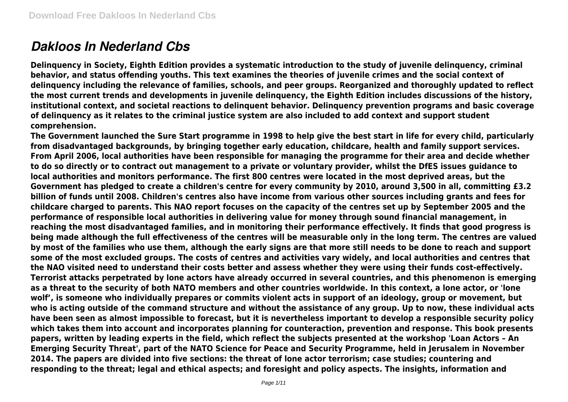# *Dakloos In Nederland Cbs*

**Delinquency in Society, Eighth Edition provides a systematic introduction to the study of juvenile delinquency, criminal behavior, and status offending youths. This text examines the theories of juvenile crimes and the social context of delinquency including the relevance of families, schools, and peer groups. Reorganized and thoroughly updated to reflect the most current trends and developments in juvenile delinquency, the Eighth Edition includes discussions of the history, institutional context, and societal reactions to delinquent behavior. Delinquency prevention programs and basic coverage of delinquency as it relates to the criminal justice system are also included to add context and support student comprehension.**

**The Government launched the Sure Start programme in 1998 to help give the best start in life for every child, particularly from disadvantaged backgrounds, by bringing together early education, childcare, health and family support services. From April 2006, local authorities have been responsible for managing the programme for their area and decide whether to do so directly or to contract out management to a private or voluntary provider, whilst the DfES issues guidance to local authorities and monitors performance. The first 800 centres were located in the most deprived areas, but the Government has pledged to create a children's centre for every community by 2010, around 3,500 in all, committing £3.2 billion of funds until 2008. Children's centres also have income from various other sources including grants and fees for childcare charged to parents. This NAO report focuses on the capacity of the centres set up by September 2005 and the performance of responsible local authorities in delivering value for money through sound financial management, in reaching the most disadvantaged families, and in monitoring their performance effectively. It finds that good progress is being made although the full effectiveness of the centres will be measurable only in the long term. The centres are valued by most of the families who use them, although the early signs are that more still needs to be done to reach and support some of the most excluded groups. The costs of centres and activities vary widely, and local authorities and centres that the NAO visited need to understand their costs better and assess whether they were using their funds cost-effectively. Terrorist attacks perpetrated by lone actors have already occurred in several countries, and this phenomenon is emerging as a threat to the security of both NATO members and other countries worldwide. In this context, a lone actor, or 'lone wolf', is someone who individually prepares or commits violent acts in support of an ideology, group or movement, but who is acting outside of the command structure and without the assistance of any group. Up to now, these individual acts have been seen as almost impossible to forecast, but it is nevertheless important to develop a responsible security policy which takes them into account and incorporates planning for counteraction, prevention and response. This book presents papers, written by leading experts in the field, which reflect the subjects presented at the workshop 'Loan Actors – An Emerging Security Threat', part of the NATO Science for Peace and Security Programme, held in Jerusalem in November 2014. The papers are divided into five sections: the threat of lone actor terrorism; case studies; countering and responding to the threat; legal and ethical aspects; and foresight and policy aspects. The insights, information and**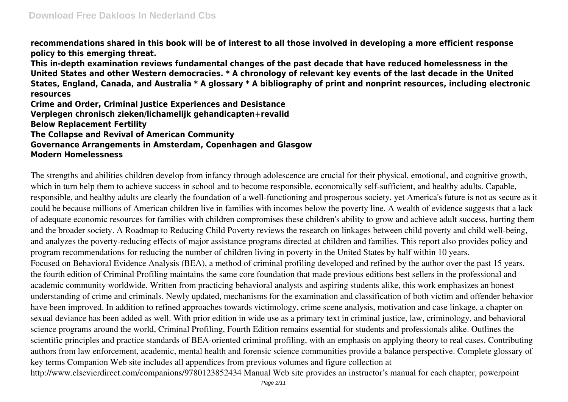**recommendations shared in this book will be of interest to all those involved in developing a more efficient response policy to this emerging threat.**

**This in-depth examination reviews fundamental changes of the past decade that have reduced homelessness in the United States and other Western democracies. \* A chronology of relevant key events of the last decade in the United States, England, Canada, and Australia \* A glossary \* A bibliography of print and nonprint resources, including electronic resources**

**Crime and Order, Criminal Justice Experiences and Desistance Verplegen chronisch zieken/lichamelijk gehandicapten+revalid Below Replacement Fertility The Collapse and Revival of American Community Governance Arrangements in Amsterdam, Copenhagen and Glasgow Modern Homelessness**

The strengths and abilities children develop from infancy through adolescence are crucial for their physical, emotional, and cognitive growth, which in turn help them to achieve success in school and to become responsible, economically self-sufficient, and healthy adults. Capable, responsible, and healthy adults are clearly the foundation of a well-functioning and prosperous society, yet America's future is not as secure as it could be because millions of American children live in families with incomes below the poverty line. A wealth of evidence suggests that a lack of adequate economic resources for families with children compromises these children's ability to grow and achieve adult success, hurting them and the broader society. A Roadmap to Reducing Child Poverty reviews the research on linkages between child poverty and child well-being, and analyzes the poverty-reducing effects of major assistance programs directed at children and families. This report also provides policy and program recommendations for reducing the number of children living in poverty in the United States by half within 10 years. Focused on Behavioral Evidence Analysis (BEA), a method of criminal profiling developed and refined by the author over the past 15 years, the fourth edition of Criminal Profiling maintains the same core foundation that made previous editions best sellers in the professional and academic community worldwide. Written from practicing behavioral analysts and aspiring students alike, this work emphasizes an honest understanding of crime and criminals. Newly updated, mechanisms for the examination and classification of both victim and offender behavior have been improved. In addition to refined approaches towards victimology, crime scene analysis, motivation and case linkage, a chapter on sexual deviance has been added as well. With prior edition in wide use as a primary text in criminal justice, law, criminology, and behavioral science programs around the world, Criminal Profiling, Fourth Edition remains essential for students and professionals alike. Outlines the scientific principles and practice standards of BEA-oriented criminal profiling, with an emphasis on applying theory to real cases. Contributing authors from law enforcement, academic, mental health and forensic science communities provide a balance perspective. Complete glossary of key terms Companion Web site includes all appendices from previous volumes and figure collection at http://www.elsevierdirect.com/companions/9780123852434 Manual Web site provides an instructor's manual for each chapter, powerpoint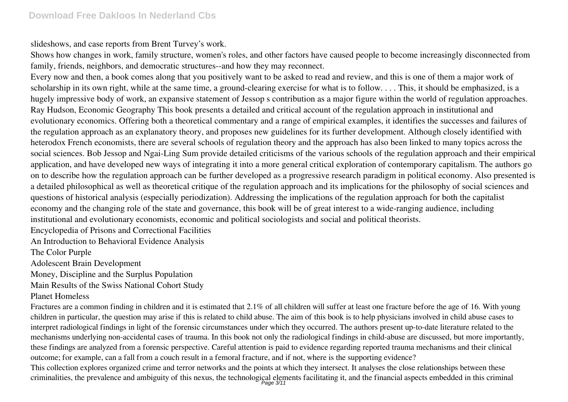slideshows, and case reports from Brent Turvey's work.

Shows how changes in work, family structure, women's roles, and other factors have caused people to become increasingly disconnected from family, friends, neighbors, and democratic structures--and how they may reconnect.

Every now and then, a book comes along that you positively want to be asked to read and review, and this is one of them a major work of scholarship in its own right, while at the same time, a ground-clearing exercise for what is to follow. . . . This, it should be emphasized, is a hugely impressive body of work, an expansive statement of Jessop s contribution as a major figure within the world of regulation approaches. Ray Hudson, Economic Geography This book presents a detailed and critical account of the regulation approach in institutional and evolutionary economics. Offering both a theoretical commentary and a range of empirical examples, it identifies the successes and failures of the regulation approach as an explanatory theory, and proposes new guidelines for its further development. Although closely identified with heterodox French economists, there are several schools of regulation theory and the approach has also been linked to many topics across the social sciences. Bob Jessop and Ngai-Ling Sum provide detailed criticisms of the various schools of the regulation approach and their empirical application, and have developed new ways of integrating it into a more general critical exploration of contemporary capitalism. The authors go on to describe how the regulation approach can be further developed as a progressive research paradigm in political economy. Also presented is a detailed philosophical as well as theoretical critique of the regulation approach and its implications for the philosophy of social sciences and questions of historical analysis (especially periodization). Addressing the implications of the regulation approach for both the capitalist economy and the changing role of the state and governance, this book will be of great interest to a wide-ranging audience, including institutional and evolutionary economists, economic and political sociologists and social and political theorists.

Encyclopedia of Prisons and Correctional Facilities

An Introduction to Behavioral Evidence Analysis

The Color Purple

Adolescent Brain Development

Money, Discipline and the Surplus Population

Main Results of the Swiss National Cohort Study

### Planet Homeless

Fractures are a common finding in children and it is estimated that 2.1% of all children will suffer at least one fracture before the age of 16. With young children in particular, the question may arise if this is related to child abuse. The aim of this book is to help physicians involved in child abuse cases to interpret radiological findings in light of the forensic circumstances under which they occurred. The authors present up-to-date literature related to the mechanisms underlying non-accidental cases of trauma. In this book not only the radiological findings in child-abuse are discussed, but more importantly, these findings are analyzed from a forensic perspective. Careful attention is paid to evidence regarding reported trauma mechanisms and their clinical outcome; for example, can a fall from a couch result in a femoral fracture, and if not, where is the supporting evidence?

This collection explores organized crime and terror networks and the points at which they intersect. It analyses the close relationships between these criminalities, the prevalence and ambiguity of this nexus, the technological elements facilitating it, and the financial aspects embedded in this criminal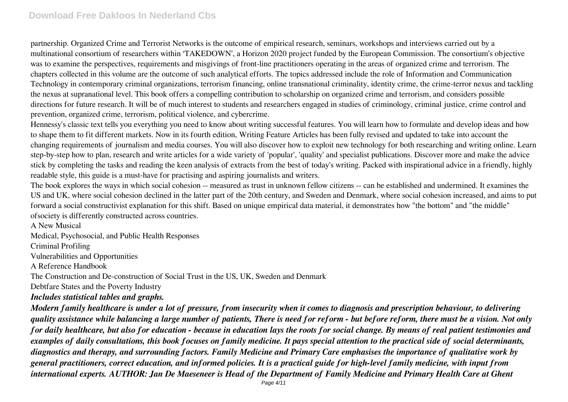partnership. Organized Crime and Terrorist Networks is the outcome of empirical research, seminars, workshops and interviews carried out by a multinational consortium of researchers within 'TAKEDOWN', a Horizon 2020 project funded by the European Commission. The consortium's objective was to examine the perspectives, requirements and misgivings of front-line practitioners operating in the areas of organized crime and terrorism. The chapters collected in this volume are the outcome of such analytical efforts. The topics addressed include the role of Information and Communication Technology in contemporary criminal organizations, terrorism financing, online transnational criminality, identity crime, the crime-terror nexus and tackling the nexus at supranational level. This book offers a compelling contribution to scholarship on organized crime and terrorism, and considers possible directions for future research. It will be of much interest to students and researchers engaged in studies of criminology, criminal justice, crime control and prevention, organized crime, terrorism, political violence, and cybercrime.

Hennessy's classic text tells you everything you need to know about writing successful features. You will learn how to formulate and develop ideas and how to shape them to fit different markets. Now in its fourth edition, Writing Feature Articles has been fully revised and updated to take into account the changing requirements of journalism and media courses. You will also discover how to exploit new technology for both researching and writing online. Learn step-by-step how to plan, research and write articles for a wide variety of 'popular', 'quality' and specialist publications. Discover more and make the advice stick by completing the tasks and reading the keen analysis of extracts from the best of today's writing. Packed with inspirational advice in a friendly, highly readable style, this guide is a must-have for practising and aspiring journalists and writers.

The book explores the ways in which social cohesion -- measured as trust in unknown fellow citizens -- can be established and undermined. It examines the US and UK, where social cohesion declined in the latter part of the 20th century, and Sweden and Denmark, where social cohesion increased, and aims to put forward a social constructivist explanation for this shift. Based on unique empirical data material, it demonstrates how "the bottom" and "the middle" ofsociety is differently constructed across countries.

A New Musical

Medical, Psychosocial, and Public Health Responses

Criminal Profiling

Vulnerabilities and Opportunities

A Reference Handbook

The Construction and De-construction of Social Trust in the US, UK, Sweden and Denmark

Debtfare States and the Poverty Industry

#### *Includes statistical tables and graphs.*

*Modern family healthcare is under a lot of pressure, from insecurity when it comes to diagnosis and prescription behaviour, to delivering quality assistance while balancing a large number of patients, There is need for reform - but before reform, there must be a vision. Not only for daily healthcare, but also for education - because in education lays the roots for social change. By means of real patient testimonies and examples of daily consultations, this book focuses on family medicine. It pays special attention to the practical side of social determinants, diagnostics and therapy, and surrounding factors. Family Medicine and Primary Care emphasises the importance of qualitative work by general practitioners, correct education, and informed policies. It is a practical guide for high-level family medicine, with input from international experts. AUTHOR: Jan De Maeseneer is Head of the Department of Family Medicine and Primary Health Care at Ghent*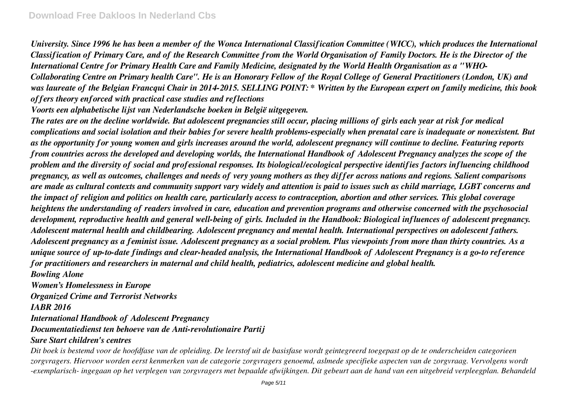*University. Since 1996 he has been a member of the Wonca International Classification Committee (WICC), which produces the International Classification of Primary Care, and of the Research Committee from the World Organisation of Family Doctors. He is the Director of the International Centre for Primary Health Care and Family Medicine, designated by the World Health Organisation as a "WHO-Collaborating Centre on Primary health Care". He is an Honorary Fellow of the Royal College of General Practitioners (London, UK) and was laureate of the Belgian Francqui Chair in 2014-2015. SELLING POINT: \* Written by the European expert on family medicine, this book offers theory enforced with practical case studies and reflections*

*Voorts een alphabetische lijst van Nederlandsche boeken in België uitgegeven.*

*The rates are on the decline worldwide. But adolescent pregnancies still occur, placing millions of girls each year at risk for medical complications and social isolation and their babies for severe health problems-especially when prenatal care is inadequate or nonexistent. But as the opportunity for young women and girls increases around the world, adolescent pregnancy will continue to decline. Featuring reports from countries across the developed and developing worlds, the International Handbook of Adolescent Pregnancy analyzes the scope of the problem and the diversity of social and professional responses. Its biological/ecological perspective identifies factors influencing childhood pregnancy, as well as outcomes, challenges and needs of very young mothers as they differ across nations and regions. Salient comparisons are made as cultural contexts and community support vary widely and attention is paid to issues such as child marriage, LGBT concerns and the impact of religion and politics on health care, particularly access to contraception, abortion and other services. This global coverage heightens the understanding of readers involved in care, education and prevention programs and otherwise concerned with the psychosocial development, reproductive health and general well-being of girls. Included in the Handbook: Biological influences of adolescent pregnancy. Adolescent maternal health and childbearing. Adolescent pregnancy and mental health. International perspectives on adolescent fathers. Adolescent pregnancy as a feminist issue. Adolescent pregnancy as a social problem. Plus viewpoints from more than thirty countries. As a unique source of up-to-date findings and clear-headed analysis, the International Handbook of Adolescent Pregnancy is a go-to reference for practitioners and researchers in maternal and child health, pediatrics, adolescent medicine and global health. Bowling Alone*

*Women's Homelessness in Europe Organized Crime and Terrorist Networks IABR 2016 International Handbook of Adolescent Pregnancy Documentatiedienst ten behoeve van de Anti-revolutionaire Partij*

#### *Sure Start children's centres*

*Dit boek is bestemd voor de hoofdfase van de opleiding. De leerstof uit de basisfase wordt geintegreerd toegepast op de te onderscheiden categorieen zorgvragers. Hiervoor worden eerst kenmerken van de categorie zorgvragers genoemd, aslmede specifieke aspecten van de zorgvraag. Vervolgens wordt -exemplarisch- ingegaan op het verplegen van zorgvragers met bepaalde afwijkingen. Dit gebeurt aan de hand van een uitgebreid verpleegplan. Behandeld*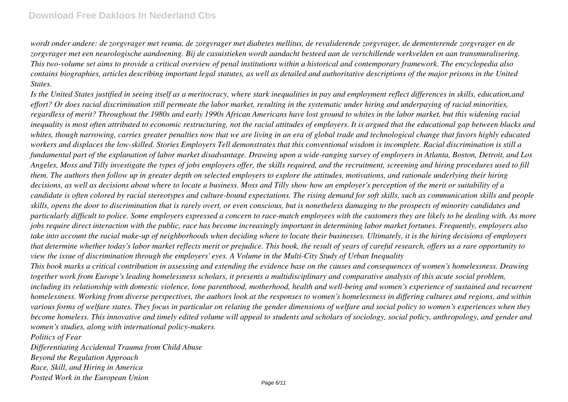*wordt onder andere: de zorgvrager met reuma, de zorgvrager met diabetes mellitus, de revaliderende zorgvrager, de dementerende zorgvrager en de zorgvrager met een neurologische aandoening. Bij de casuistieken wordt aandacht besteed aan de verschillende werkvelden en aan transmuralisering. This two-volume set aims to provide a critical overview of penal institutions within a historical and contemporary framework. The encyclopedia also contains biographies, articles describing important legal statutes, as well as detailed and authoritative descriptions of the major prisons in the United States.*

*Is the United States justified in seeing itself as a meritocracy, where stark inequalities in pay and employment reflect differences in skills, education,and effort? Or does racial discrimination still permeate the labor market, resulting in the systematic under hiring and underpaying of racial minorities, regardless of merit? Throughout the 1980s and early 1990s African Americans have lost ground to whites in the labor market, but this widening racial inequality is most often attributed to economic restructuring, not the racial attitudes of employers. It is argued that the educational gap between blacks and whites, though narrowing, carries greater penalties now that we are living in an era of global trade and technological change that favors highly educated workers and displaces the low-skilled. Stories Employers Tell demonstrates that this conventional wisdom is incomplete. Racial discrimination is still a fundamental part of the explanation of labor market disadvantage. Drawing upon a wide-ranging survey of employers in Atlanta, Boston, Detroit, and Los Angeles, Moss and Tilly investigate the types of jobs employers offer, the skills required, and the recruitment, screening and hiring procedures used to fill them. The authors then follow up in greater depth on selected employers to explore the attitudes, motivations, and rationale underlying their hiring decisions, as well as decisions about where to locate a business. Moss and Tilly show how an employer's perception of the merit or suitability of a candidate is often colored by racial stereotypes and culture-bound expectations. The rising demand for soft skills, such as communication skills and people skills, opens the door to discrimination that is rarely overt, or even conscious, but is nonetheless damaging to the prospects of minority candidates and particularly difficult to police. Some employers expressed a concern to race-match employees with the customers they are likely to be dealing with. As more jobs require direct interaction with the public, race has become increasingly important in determining labor market fortunes. Frequently, employers also take into account the racial make-up of neighborhoods when deciding where to locate their businesses. Ultimately, it is the hiring decisions of employers that determine whether today's labor market reflects merit or prejudice. This book, the result of years of careful research, offers us a rare opportunity to view the issue of discrimination through the employers' eyes. A Volume in the Multi-City Study of Urban Inequality*

*This book marks a critical contribution in assessing and extending the evidence base on the causes and consequences of women's homelessness. Drawing together work from Europe's leading homelessness scholars, it presents a multidisciplinary and comparative analysis of this acute social problem, including its relationship with domestic violence, lone parenthood, motherhood, health and well-being and women's experience of sustained and recurrent homelessness. Working from diverse perspectives, the authors look at the responses to women's homelessness in differing cultures and regions, and within various forms of welfare states. They focus in particular on relating the gender dimensions of welfare and social policy to women's experiences when they become homeless. This innovative and timely edited volume will appeal to students and scholars of sociology, social policy, anthropology, and gender and women's studies, along with international policy-makers.*

*Politics of Fear*

*Differentiating Accidental Trauma from Child Abuse Beyond the Regulation Approach Race, Skill, and Hiring in America Posted Work in the European Union*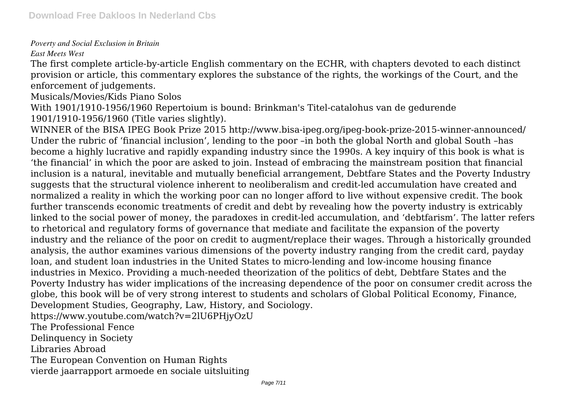## *Poverty and Social Exclusion in Britain*

*East Meets West*

The first complete article-by-article English commentary on the ECHR, with chapters devoted to each distinct provision or article, this commentary explores the substance of the rights, the workings of the Court, and the enforcement of judgements.

Musicals/Movies/Kids Piano Solos

With 1901/1910-1956/1960 Repertoium is bound: Brinkman's Titel-catalohus van de gedurende 1901/1910-1956/1960 (Title varies slightly).

WINNER of the BISA IPEG Book Prize 2015 http://www.bisa-ipeg.org/ipeg-book-prize-2015-winner-announced/ Under the rubric of 'financial inclusion', lending to the poor –in both the global North and global South –has become a highly lucrative and rapidly expanding industry since the 1990s. A key inquiry of this book is what is 'the financial' in which the poor are asked to join. Instead of embracing the mainstream position that financial inclusion is a natural, inevitable and mutually beneficial arrangement, Debtfare States and the Poverty Industry suggests that the structural violence inherent to neoliberalism and credit-led accumulation have created and normalized a reality in which the working poor can no longer afford to live without expensive credit. The book further transcends economic treatments of credit and debt by revealing how the poverty industry is extricably linked to the social power of money, the paradoxes in credit-led accumulation, and 'debtfarism'. The latter refers to rhetorical and regulatory forms of governance that mediate and facilitate the expansion of the poverty industry and the reliance of the poor on credit to augment/replace their wages. Through a historically grounded analysis, the author examines various dimensions of the poverty industry ranging from the credit card, payday loan, and student loan industries in the United States to micro-lending and low-income housing finance industries in Mexico. Providing a much-needed theorization of the politics of debt, Debtfare States and the Poverty Industry has wider implications of the increasing dependence of the poor on consumer credit across the globe, this book will be of very strong interest to students and scholars of Global Political Economy, Finance, Development Studies, Geography, Law, History, and Sociology.

https://www.youtube.com/watch?v=2lU6PHjyOzU

The Professional Fence

Delinquency in Society

Libraries Abroad

The European Convention on Human Rights vierde jaarrapport armoede en sociale uitsluiting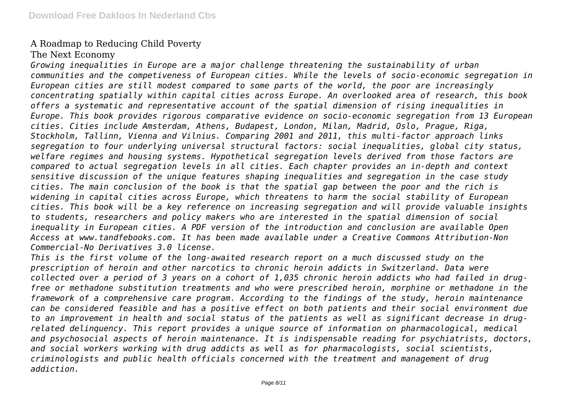# A Roadmap to Reducing Child Poverty

## The Next Economy

*Growing inequalities in Europe are a major challenge threatening the sustainability of urban communities and the competiveness of European cities. While the levels of socio-economic segregation in European cities are still modest compared to some parts of the world, the poor are increasingly concentrating spatially within capital cities across Europe. An overlooked area of research, this book offers a systematic and representative account of the spatial dimension of rising inequalities in Europe. This book provides rigorous comparative evidence on socio-economic segregation from 13 European cities. Cities include Amsterdam, Athens, Budapest, London, Milan, Madrid, Oslo, Prague, Riga, Stockholm, Tallinn, Vienna and Vilnius. Comparing 2001 and 2011, this multi-factor approach links segregation to four underlying universal structural factors: social inequalities, global city status, welfare regimes and housing systems. Hypothetical segregation levels derived from those factors are compared to actual segregation levels in all cities. Each chapter provides an in-depth and context sensitive discussion of the unique features shaping inequalities and segregation in the case study cities. The main conclusion of the book is that the spatial gap between the poor and the rich is widening in capital cities across Europe, which threatens to harm the social stability of European cities. This book will be a key reference on increasing segregation and will provide valuable insights to students, researchers and policy makers who are interested in the spatial dimension of social inequality in European cities. A PDF version of the introduction and conclusion are available Open Access at www.tandfebooks.com. It has been made available under a Creative Commons Attribution-Non Commercial-No Derivatives 3.0 license.*

*This is the first volume of the long-awaited research report on a much discussed study on the prescription of heroin and other narcotics to chronic heroin addicts in Switzerland. Data were collected over a period of 3 years on a cohort of 1,035 chronic heroin addicts who had failed in drugfree or methadone substitution treatments and who were prescribed heroin, morphine or methadone in the framework of a comprehensive care program. According to the findings of the study, heroin maintenance can be considered feasible and has a positive effect on both patients and their social environment due to an improvement in health and social status of the patients as well as significant decrease in drugrelated delinquency. This report provides a unique source of information on pharmacological, medical and psychosocial aspects of heroin maintenance. It is indispensable reading for psychiatrists, doctors, and social workers working with drug addicts as well as for pharmacologists, social scientists, criminologists and public health officials concerned with the treatment and management of drug addiction.*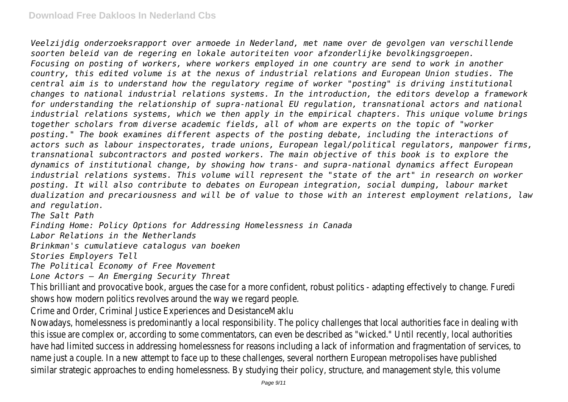*Veelzijdig onderzoeksrapport over armoede in Nederland, met name over de gevolgen van verschillende soorten beleid van de regering en lokale autoriteiten voor afzonderlijke bevolkingsgroepen. Focusing on posting of workers, where workers employed in one country are send to work in another country, this edited volume is at the nexus of industrial relations and European Union studies. The central aim is to understand how the regulatory regime of worker "posting" is driving institutional changes to national industrial relations systems. In the introduction, the editors develop a framework for understanding the relationship of supra-national EU regulation, transnational actors and national industrial relations systems, which we then apply in the empirical chapters. This unique volume brings together scholars from diverse academic fields, all of whom are experts on the topic of "worker posting." The book examines different aspects of the posting debate, including the interactions of actors such as labour inspectorates, trade unions, European legal/political regulators, manpower firms, transnational subcontractors and posted workers. The main objective of this book is to explore the dynamics of institutional change, by showing how trans- and supra-national dynamics affect European industrial relations systems. This volume will represent the "state of the art" in research on worker posting. It will also contribute to debates on European integration, social dumping, labour market dualization and precariousness and will be of value to those with an interest employment relations, law and regulation.*

*The Salt Path*

*Finding Home: Policy Options for Addressing Homelessness in Canada*

*Labor Relations in the Netherlands*

*Brinkman's cumulatieve catalogus van boeken*

*Stories Employers Tell*

*The Political Economy of Free Movement*

*Lone Actors – An Emerging Security Threat*

This brilliant and provocative book, argues the case for a more confident, robust politics - adapting effectively to change. F shows how modern politics revolves around the way we regard people.

Crime and Order, Criminal Justice Experiences and DesistanceMak

Nowadays, homelessness is predominantly a local responsibility. The policy challenges that local authorities face in dealing v this issue are complex or, according to some commentators, can even be described as "wicked." Until recently, local author have had limited success in addressing homelessness for reasons including a lack of information and fragmentation of service name just a couple. In a new attempt to face up to these challenges, several northern European metropolises have publ similar strategic approaches to ending homelessness. By studying their policy, structure, and management style, this vol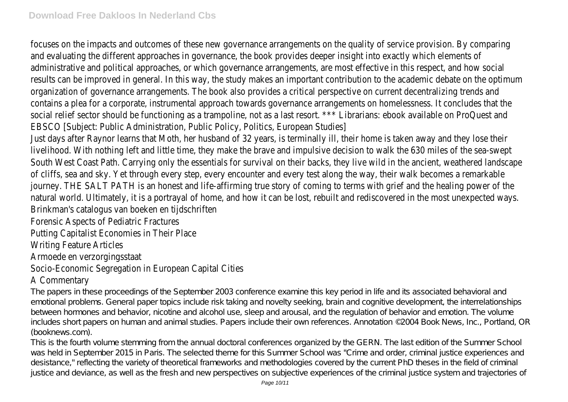focuses on the impacts and outcomes of these new governance arrangements on the quality of service provision. By comp and evaluating the different approaches in governance, the book provides deeper insight into exactly which element administrative and political approaches, or which governance arrangements, are most effective in this respect, and how s results can be improved in general. In this way, the study makes an important contribution to the academic debate on the opt organization of governance arrangements. The book also provides a critical perspective on current decentralizing trends contains a plea for a corporate, instrumental approach towards governance arrangements on homelessness. It concludes tha social relief sector should be functioning as a trampoline, not as a last resort. \*\*\* Librarians: ebook available on ProQuest EBSCO [Subject: Public Administration, Public Policy, Politics, European Studi

Just days after Raynor learns that Moth, her husband of 32 years, is terminally ill, their home is taken away and they lose livelihood. With nothing left and little time, they make the brave and impulsive decision to walk the 630 miles of the sea-s South West Coast Path. Carrying only the essentials for survival on their backs, they live wild in the ancient, weathered land of cliffs, sea and sky. Yet through every step, every encounter and every test along the way, their walk becomes a remar journey. THE SALT PATH is an honest and life-affirming true story of coming to terms with grief and the healing power natural world. Ultimately, it is a portrayal of home, and how it can be lost, rebuilt and rediscovered in the most unexpected Brinkman's catalogus van boeken en tijdschrifte

Forensic Aspects of Pediatric Fracture

Putting Capitalist Economies in Their Place

Writing Feature Articles

Armoede en verzorgingsstaat

# Socio-Economic Segregation in European Capital Cities

# A Commentary

The papers in these proceedings of the September 2003 conference examine this key period in life and its associated behavioral and emotional problems. General paper topics include risk taking and novelty seeking, brain and cognitive development, the interrelationships between hormones and behavior, nicotine and alcohol use, sleep and arousal, and the regulation of behavior and emotion. The volume includes short papers on human and animal studies. Papers include their own references. Annotation ©2004 Book News, Inc., Portland, OR (booknews.com).

This is the fourth volume stemming from the annual doctoral conferences organized by the GERN. The last edition of the Summer School was held in September 2015 in Paris. The selected theme for this Summer School was "Crime and order, criminal justice experiences and desistance," reflecting the variety of theoretical frameworks and methodologies covered by the current PhD theses in the field of criminal justice and deviance, as well as the fresh and new perspectives on subjective experiences of the criminal justice system and trajectories of